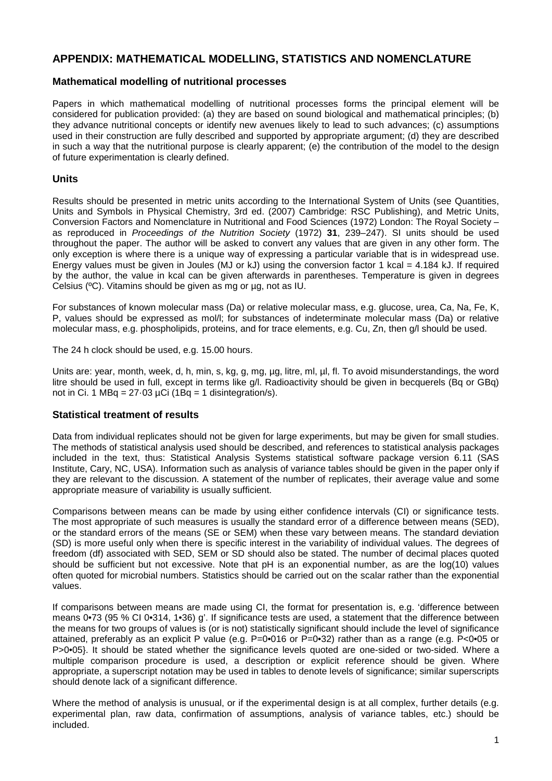## **APPENDIX: MATHEMATICAL MODELLING, STATISTICS AND NOMENCLATURE**

## **Mathematical modelling of nutritional processes**

Papers in which mathematical modelling of nutritional processes forms the principal element will be considered for publication provided: (a) they are based on sound biological and mathematical principles; (b) they advance nutritional concepts or identify new avenues likely to lead to such advances; (c) assumptions used in their construction are fully described and supported by appropriate argument; (d) they are described in such a way that the nutritional purpose is clearly apparent; (e) the contribution of the model to the design of future experimentation is clearly defined.

## **Units**

Results should be presented in metric units according to the International System of Units (see Quantities, Units and Symbols in Physical Chemistry, 3rd ed. (2007) Cambridge: RSC Publishing), and Metric Units, Conversion Factors and Nomenclature in Nutritional and Food Sciences (1972) London: The Royal Society – as reproduced in *Proceedings of the Nutrition Society* (1972) **31**, 239–247). SI units should be used throughout the paper. The author will be asked to convert any values that are given in any other form. The only exception is where there is a unique way of expressing a particular variable that is in widespread use. Energy values must be given in Joules (MJ or kJ) using the conversion factor 1 kcal =  $4.184$  kJ. If required by the author, the value in kcal can be given afterwards in parentheses. Temperature is given in degrees Celsius (ºC). Vitamins should be given as mg or µg, not as IU.

For substances of known molecular mass (Da) or relative molecular mass, e.g. glucose, urea, Ca, Na, Fe, K, P, values should be expressed as mol/l; for substances of indeterminate molecular mass (Da) or relative molecular mass, e.g. phospholipids, proteins, and for trace elements, e.g. Cu, Zn, then g/l should be used.

The 24 h clock should be used, e.g. 15.00 hours.

Units are: year, month, week, d, h, min, s, kg, g, mg,  $\mu$ g, litre, ml,  $\mu$ l, fl. To avoid misunderstandings, the word litre should be used in full, except in terms like g/l. Radioactivity should be given in becquerels (Bq or GBq) not in Ci. 1 MBq =  $27.03 \mu$ Ci (1Bq = 1 disintegration/s).

#### **Statistical treatment of results**

Data from individual replicates should not be given for large experiments, but may be given for small studies. The methods of statistical analysis used should be described, and references to statistical analysis packages included in the text, thus: Statistical Analysis Systems statistical software package version 6.11 (SAS Institute, Cary, NC, USA). Information such as analysis of variance tables should be given in the paper only if they are relevant to the discussion. A statement of the number of replicates, their average value and some appropriate measure of variability is usually sufficient.

Comparisons between means can be made by using either confidence intervals (CI) or significance tests. The most appropriate of such measures is usually the standard error of a difference between means (SED), or the standard errors of the means (SE or SEM) when these vary between means. The standard deviation (SD) is more useful only when there is specific interest in the variability of individual values. The degrees of freedom (df) associated with SED, SEM or SD should also be stated. The number of decimal places quoted should be sufficient but not excessive. Note that pH is an exponential number, as are the log(10) values often quoted for microbial numbers. Statistics should be carried out on the scalar rather than the exponential values.

If comparisons between means are made using CI, the format for presentation is, e.g. 'difference between means 0•73 (95 % CI 0•314, 1•36) g'. If significance tests are used, a statement that the difference between the means for two groups of values is (or is not) statistically significant should include the level of significance attained, preferably as an explicit P value (e.g. P=0•016 or P=0•32) rather than as a range (e.g. P<0•05 or P>0•05}. It should be stated whether the significance levels quoted are one-sided or two-sided. Where a multiple comparison procedure is used, a description or explicit reference should be given. Where appropriate, a superscript notation may be used in tables to denote levels of significance; similar superscripts should denote lack of a significant difference.

Where the method of analysis is unusual, or if the experimental design is at all complex, further details (e.g. experimental plan, raw data, confirmation of assumptions, analysis of variance tables, etc.) should be included.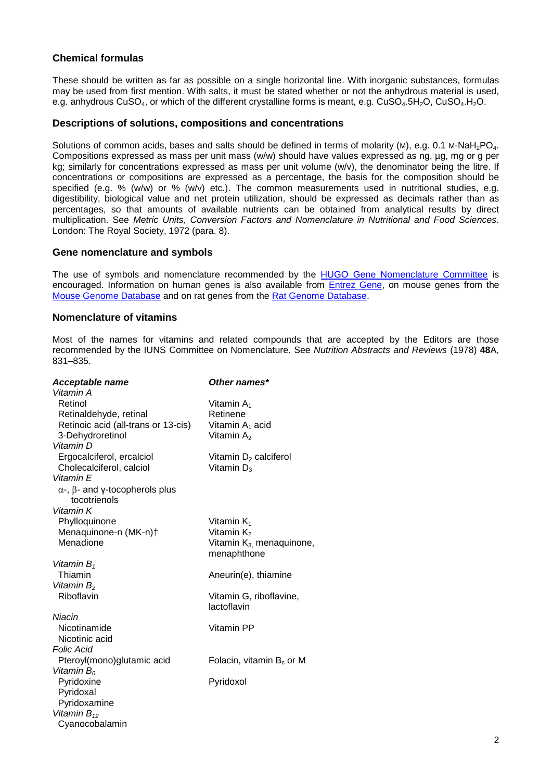## **Chemical formulas**

These should be written as far as possible on a single horizontal line. With inorganic substances, formulas may be used from first mention. With salts, it must be stated whether or not the anhydrous material is used, e.g. anhydrous CuSO<sub>4</sub>, or which of the different crystalline forms is meant, e.g. CuSO<sub>4</sub>.5H<sub>2</sub>O, CuSO<sub>4</sub>.H<sub>2</sub>O.

#### **Descriptions of solutions, compositions and concentrations**

Solutions of common acids, bases and salts should be defined in terms of molarity (M), e.g. 0.1 M-NaH<sub>2</sub>PO<sub>4</sub>. Compositions expressed as mass per unit mass (w/w) should have values expressed as ng, µg, mg or g per kg; similarly for concentrations expressed as mass per unit volume (w/v), the denominator being the litre. If concentrations or compositions are expressed as a percentage, the basis for the composition should be specified (e.g. % (w/w) or % (w/v) etc.). The common measurements used in nutritional studies, e.g. digestibility, biological value and net protein utilization, should be expressed as decimals rather than as percentages, so that amounts of available nutrients can be obtained from analytical results by direct multiplication. See *Metric Units, Conversion Factors and Nomenclature in Nutritional and Food Sciences*. London: The Royal Society, 1972 (para. 8).

#### **Gene nomenclature and symbols**

The use of symbols and nomenclature recommended by the [HUGO Gene Nomenclature Committee](http://www.genenames.org/) is encouraged. Information on human genes is also available from [Entrez Gene,](http://www.ncbi.nlm.nih.gov/sites/entrez?db=gene) on mouse genes from the [Mouse Genome Database](http://www.informatics.jax.org/) and on rat genes from the [Rat Genome Database.](http://rgd.mcw.edu/)

#### **Nomenclature of vitamins**

Most of the names for vitamins and related compounds that are accepted by the Editors are those recommended by the IUNS Committee on Nomenclature. See *Nutrition Abstracts and Reviews* (1978) **48**A, 831–835.

| <b>Acceptable name</b>                                       | Other names*                           |
|--------------------------------------------------------------|----------------------------------------|
| Vitamin A                                                    |                                        |
| Retinol                                                      | Vitamin A <sub>1</sub>                 |
| Retinaldehyde, retinal                                       | Retinene                               |
| Retinoic acid (all-trans or 13-cis)                          | Vitamin A <sub>1</sub> acid            |
| 3-Dehydroretinol                                             | Vitamin $A_2$                          |
| Vitamin D                                                    |                                        |
| Ergocalciferol, ercalciol                                    | Vitamin $D_2$ calciferol               |
| Cholecalciferol, calciol                                     | Vitamin $D_3$                          |
| Vitamin E                                                    |                                        |
| $\alpha$ -, $\beta$ - and y-tocopherols plus<br>tocotrienols |                                        |
| Vitamin K                                                    |                                        |
| Phylloquinone                                                | Vitamin $K_1$                          |
| Menaquinone-n (MK-n)+                                        | Vitamin $K_2$                          |
| Menadione                                                    | Vitamin K <sub>3.</sub> menaquinone,   |
|                                                              | menaphthone                            |
| Vitamin $B_1$                                                |                                        |
| Thiamin                                                      | Aneurin(e), thiamine                   |
| Vitamin B <sub>2</sub>                                       |                                        |
| Riboflavin                                                   | Vitamin G, riboflavine,<br>lactoflavin |
| Niacin                                                       |                                        |
| Nicotinamide                                                 | Vitamin PP                             |
| Nicotinic acid                                               |                                        |
| <b>Folic Acid</b>                                            |                                        |
| Pteroyl(mono)glutamic acid                                   | Folacin, vitamin $B_c$ or M            |
| Vitamin $B_6$                                                |                                        |
| Pyridoxine                                                   | Pyridoxol                              |
| Pyridoxal                                                    |                                        |
| Pyridoxamine                                                 |                                        |
| Vitamin $B_{12}$                                             |                                        |
| Cyanocobalamin                                               |                                        |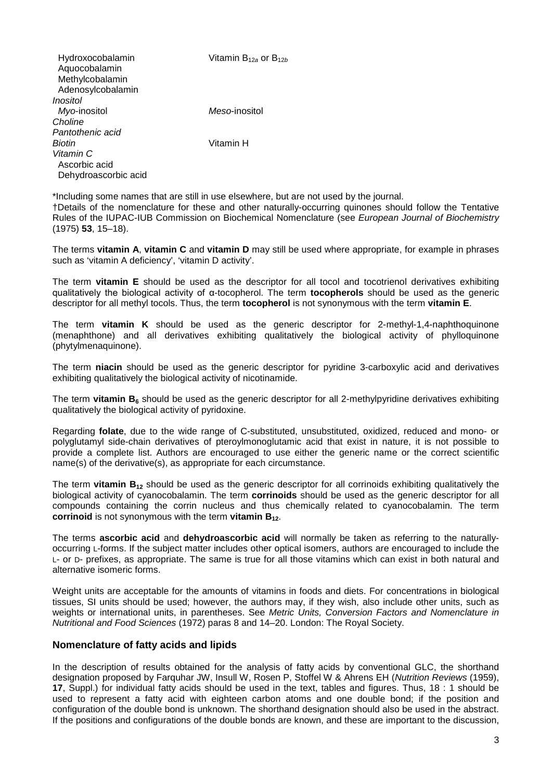| Vitamin $B_{12a}$ or $B_{12b}$ |
|--------------------------------|
|                                |
|                                |
|                                |
| Meso-inositol                  |
|                                |
|                                |
| Vitamin H                      |
|                                |
|                                |
|                                |
|                                |

\*Including some names that are still in use elsewhere, but are not used by the journal. †Details of the nomenclature for these and other naturally-occurring quinones should follow the Tentative Rules of the IUPAC-IUB Commission on Biochemical Nomenclature (see *European Journal of Biochemistry* (1975) **53**, 15–18).

The terms **vitamin A**, **vitamin C** and **vitamin D** may still be used where appropriate, for example in phrases such as 'vitamin A deficiency', 'vitamin D activity'.

The term **vitamin E** should be used as the descriptor for all tocol and tocotrienol derivatives exhibiting qualitatively the biological activity of α-tocopherol. The term **tocopherols** should be used as the generic descriptor for all methyl tocols. Thus, the term **tocopherol** is not synonymous with the term **vitamin E**.

The term **vitamin K** should be used as the generic descriptor for 2-methyl-1,4-naphthoquinone (menaphthone) and all derivatives exhibiting qualitatively the biological activity of phylloquinone (phytylmenaquinone).

The term **niacin** should be used as the generic descriptor for pyridine 3-carboxylic acid and derivatives exhibiting qualitatively the biological activity of nicotinamide.

The term **vitamin B6** should be used as the generic descriptor for all 2-methylpyridine derivatives exhibiting qualitatively the biological activity of pyridoxine.

Regarding **folate**, due to the wide range of C-substituted, unsubstituted, oxidized, reduced and mono- or polyglutamyl side-chain derivatives of pteroylmonoglutamic acid that exist in nature, it is not possible to provide a complete list. Authors are encouraged to use either the generic name or the correct scientific name(s) of the derivative(s), as appropriate for each circumstance.

The term **vitamin B12** should be used as the generic descriptor for all corrinoids exhibiting qualitatively the biological activity of cyanocobalamin. The term **corrinoids** should be used as the generic descriptor for all compounds containing the corrin nucleus and thus chemically related to cyanocobalamin. The term **corrinoid** is not synonymous with the term **vitamin B**<sub>12</sub>.

The terms **ascorbic acid** and **dehydroascorbic acid** will normally be taken as referring to the naturallyoccurring L-forms. If the subject matter includes other optical isomers, authors are encouraged to include the L- or D- prefixes, as appropriate. The same is true for all those vitamins which can exist in both natural and alternative isomeric forms.

Weight units are acceptable for the amounts of vitamins in foods and diets. For concentrations in biological tissues, SI units should be used; however, the authors may, if they wish, also include other units, such as weights or international units, in parentheses. See *Metric Units, Conversion Factors and Nomenclature in Nutritional and Food Sciences* (1972) paras 8 and 14–20. London: The Royal Society.

#### **Nomenclature of fatty acids and lipids**

In the description of results obtained for the analysis of fatty acids by conventional GLC, the shorthand designation proposed by Farquhar JW, Insull W, Rosen P, Stoffel W & Ahrens EH (*Nutrition Reviews* (1959), **17**, Suppl.) for individual fatty acids should be used in the text, tables and figures. Thus, 18 : 1 should be used to represent a fatty acid with eighteen carbon atoms and one double bond; if the position and configuration of the double bond is unknown. The shorthand designation should also be used in the abstract. If the positions and configurations of the double bonds are known, and these are important to the discussion,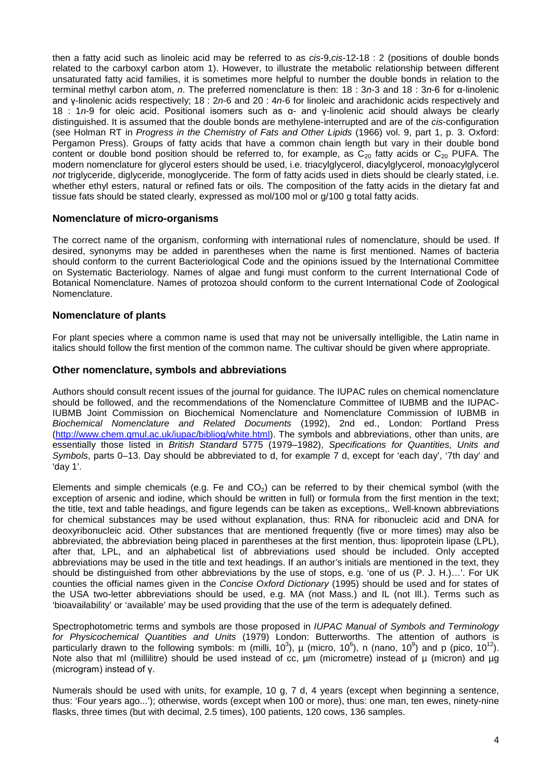then a fatty acid such as linoleic acid may be referred to as *cis*-9,*cis*-12-18 : 2 (positions of double bonds related to the carboxyl carbon atom 1). However, to illustrate the metabolic relationship between different unsaturated fatty acid families, it is sometimes more helpful to number the double bonds in relation to the terminal methyl carbon atom, *n*. The preferred nomenclature is then: 18 : 3*n*-3 and 18 : 3*n*-6 for α-linolenic and γ-linolenic acids respectively; 18 : 2*n*-6 and 20 : 4*n*-6 for linoleic and arachidonic acids respectively and 18 : 1*n*-9 for oleic acid. Positional isomers such as α- and γ-linolenic acid should always be clearly distinguished. It is assumed that the double bonds are methylene-interrupted and are of the *cis*-configuration (see Holman RT in *Progress in the Chemistry of Fats and Other Lipids* (1966) vol. 9, part 1, p. 3. Oxford: Pergamon Press). Groups of fatty acids that have a common chain length but vary in their double bond content or double bond position should be referred to, for example, as  $C_{20}$  fatty acids or  $C_{20}$  PUFA. The modern nomenclature for glycerol esters should be used, i.e. triacylglycerol, diacylglycerol, monoacylglycerol *not* triglyceride, diglyceride, monoglyceride. The form of fatty acids used in diets should be clearly stated, i.e. whether ethyl esters, natural or refined fats or oils. The composition of the fatty acids in the dietary fat and tissue fats should be stated clearly, expressed as mol/100 mol or g/100 g total fatty acids.

## **Nomenclature of micro-organisms**

The correct name of the organism, conforming with international rules of nomenclature, should be used. If desired, synonyms may be added in parentheses when the name is first mentioned. Names of bacteria should conform to the current Bacteriological Code and the opinions issued by the International Committee on Systematic Bacteriology. Names of algae and fungi must conform to the current International Code of Botanical Nomenclature. Names of protozoa should conform to the current International Code of Zoological Nomenclature.

## **Nomenclature of plants**

For plant species where a common name is used that may not be universally intelligible, the Latin name in italics should follow the first mention of the common name. The cultivar should be given where appropriate.

#### **Other nomenclature, symbols and abbreviations**

Authors should consult recent issues of the journal for guidance. The IUPAC rules on chemical nomenclature should be followed, and the recommendations of the Nomenclature Committee of IUBMB and the IUPAC-IUBMB Joint Commission on Biochemical Nomenclature and Nomenclature Commission of IUBMB in *Biochemical Nomenclature and Related Documents* (1992), 2nd ed., London: Portland Press [\(http://www.chem.qmul.ac.uk/iupac/bibliog/white.html\)](http://www.chem.qmul.ac.uk/iupac/bibliog/white.html). The symbols and abbreviations, other than units, are essentially those listed in *British Standard* 5775 (1979–1982), *Specifications for Quantities, Units and Symbols*, parts 0–13. Day should be abbreviated to d, for example 7 d, except for 'each day', '7th day' and 'day 1'.

Elements and simple chemicals (e.g. Fe and  $CO<sub>2</sub>$ ) can be referred to by their chemical symbol (with the exception of arsenic and iodine, which should be written in full) or formula from the first mention in the text; the title, text and table headings, and figure legends can be taken as exceptions,. Well-known abbreviations for chemical substances may be used without explanation, thus: RNA for ribonucleic acid and DNA for deoxyribonucleic acid. Other substances that are mentioned frequently (five or more times) may also be abbreviated, the abbreviation being placed in parentheses at the first mention, thus: lipoprotein lipase (LPL), after that, LPL, and an alphabetical list of abbreviations used should be included. Only accepted abbreviations may be used in the title and text headings. If an author's initials are mentioned in the text, they should be distinguished from other abbreviations by the use of stops, e.g. 'one of us (P. J. H.)…'. For UK counties the official names given in the *Concise Oxford Dictionary* (1995) should be used and for states of the USA two-letter abbreviations should be used, e.g. MA (not Mass.) and IL (not Ill.). Terms such as 'bioavailability' or 'available' may be used providing that the use of the term is adequately defined.

Spectrophotometric terms and symbols are those proposed in *IUPAC Manual of Symbols and Terminology for Physicochemical Quantities and Units* (1979) London: Butterworths. The attention of authors is particularly drawn to the following symbols: m (milli, 10<sup>3</sup>),  $\mu$  (micro, 10<sup>6</sup>), n (nano, 10<sup>9</sup>) and p (pico, 10<sup>12</sup>). Note also that ml (millilitre) should be used instead of cc, um (micrometre) instead of µ (micron) and µg (microgram) instead of γ.

Numerals should be used with units, for example, 10 g, 7 d, 4 years (except when beginning a sentence, thus: 'Four years ago...'); otherwise, words (except when 100 or more), thus: one man, ten ewes, ninety-nine flasks, three times (but with decimal, 2.5 times), 100 patients, 120 cows, 136 samples.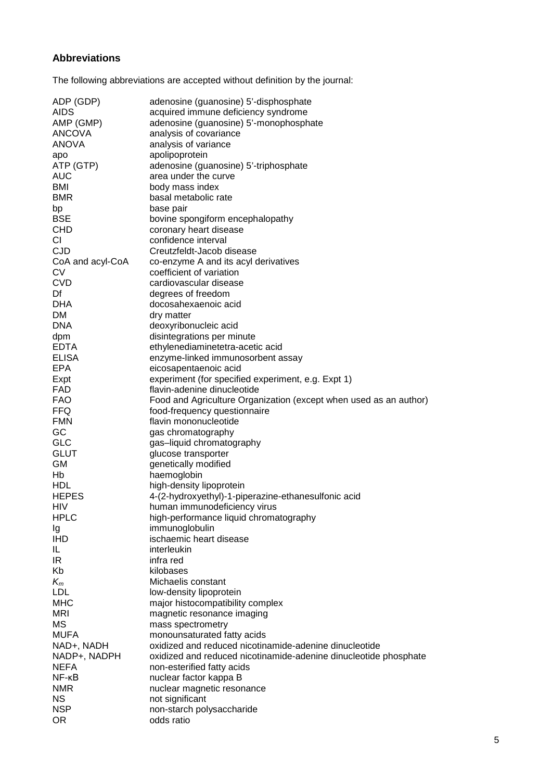# **Abbreviations**

The following abbreviations are accepted without definition by the journal:

| ADP (GDP)                  | adenosine (guanosine) 5'-disphosphate                             |
|----------------------------|-------------------------------------------------------------------|
| <b>AIDS</b>                | acquired immune deficiency syndrome                               |
| AMP (GMP)                  | adenosine (guanosine) 5'-monophosphate                            |
| <b>ANCOVA</b>              | analysis of covariance                                            |
| <b>ANOVA</b>               | analysis of variance                                              |
| apo                        | apolipoprotein                                                    |
| ATP (GTP)                  | adenosine (guanosine) 5'-triphosphate                             |
| <b>AUC</b>                 | area under the curve                                              |
| BMI                        | body mass index                                                   |
| <b>BMR</b>                 | basal metabolic rate                                              |
| bp                         | base pair                                                         |
| <b>BSE</b>                 | bovine spongiform encephalopathy                                  |
| <b>CHD</b>                 | coronary heart disease                                            |
| СI                         | confidence interval                                               |
| <b>CJD</b>                 | Creutzfeldt-Jacob disease                                         |
| CoA and acyl-CoA           | co-enzyme A and its acyl derivatives                              |
| <b>CV</b>                  | coefficient of variation                                          |
| <b>CVD</b>                 | cardiovascular disease                                            |
| Df                         | degrees of freedom                                                |
| <b>DHA</b>                 | docosahexaenoic acid                                              |
| DM                         | dry matter                                                        |
| <b>DNA</b>                 | deoxyribonucleic acid                                             |
| dpm                        | disintegrations per minute                                        |
| <b>EDTA</b>                | ethylenediaminetetra-acetic acid                                  |
| <b>ELISA</b>               | enzyme-linked immunosorbent assay                                 |
| <b>EPA</b>                 | eicosapentaenoic acid                                             |
| Expt                       | experiment (for specified experiment, e.g. Expt 1)                |
| FAD                        | flavin-adenine dinucleotide                                       |
| <b>FAO</b>                 | Food and Agriculture Organization (except when used as an author) |
| <b>FFQ</b>                 | food-frequency questionnaire                                      |
| <b>FMN</b>                 | flavin mononucleotide                                             |
| GC                         | gas chromatography                                                |
| <b>GLC</b>                 | gas-liquid chromatography                                         |
| <b>GLUT</b>                | glucose transporter                                               |
| <b>GM</b>                  | genetically modified                                              |
| Hb                         | haemoglobin                                                       |
| <b>HDL</b>                 | high-density lipoprotein                                          |
| <b>HEPES</b><br><b>HIV</b> | 4-(2-hydroxyethyl)-1-piperazine-ethanesulfonic acid               |
|                            | human immunodeficiency virus                                      |
| <b>HPLC</b>                | high-performance liquid chromatography<br>immunoglobulin          |
| Ig<br><b>IHD</b>           | ischaemic heart disease                                           |
| IL.                        | interleukin                                                       |
| IR                         | infra red                                                         |
| Kb                         | kilobases                                                         |
| $K_m$                      | Michaelis constant                                                |
| <b>LDL</b>                 | low-density lipoprotein                                           |
| <b>MHC</b>                 | major histocompatibility complex                                  |
| <b>MRI</b>                 | magnetic resonance imaging                                        |
| <b>MS</b>                  | mass spectrometry                                                 |
| <b>MUFA</b>                | monounsaturated fatty acids                                       |
| NAD+, NADH                 | oxidized and reduced nicotinamide-adenine dinucleotide            |
| NADP+, NADPH               | oxidized and reduced nicotinamide-adenine dinucleotide phosphate  |
| <b>NEFA</b>                | non-esterified fatty acids                                        |
| $NF - KB$                  | nuclear factor kappa B                                            |
| <b>NMR</b>                 | nuclear magnetic resonance                                        |
| <b>NS</b>                  | not significant                                                   |
| <b>NSP</b>                 | non-starch polysaccharide                                         |
| <b>OR</b>                  | odds ratio                                                        |
|                            |                                                                   |